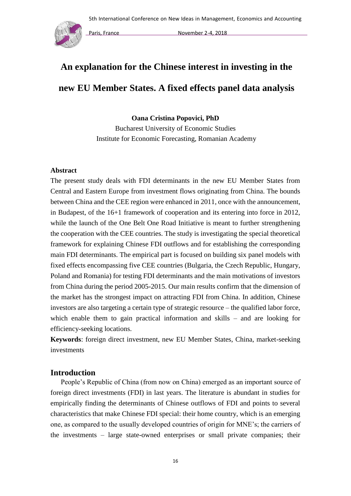

# **An explanation for the Chinese interest in investing in the new EU Member States. A fixed effects panel data analysis**

**Oana Cristina Popovici, PhD** 

Bucharest University of Economic Studies Institute for Economic Forecasting, Romanian Academy

## **Abstract**

The present study deals with FDI determinants in the new EU Member States from Central and Eastern Europe from investment flows originating from China. The bounds between China and the CEE region were enhanced in 2011, once with the announcement, in Budapest, of the 16+1 framework of cooperation and its entering into force in 2012, while the launch of the One Belt One Road Initiative is meant to further strengthening the cooperation with the CEE countries. The study is investigating the special theoretical framework for explaining Chinese FDI outflows and for establishing the corresponding main FDI determinants. The empirical part is focused on building six panel models with fixed effects encompassing five CEE countries (Bulgaria, the Czech Republic, Hungary, Poland and Romania) for testing FDI determinants and the main motivations of investors from China during the period 2005-2015. Our main results confirm that the dimension of the market has the strongest impact on attracting FDI from China. In addition, Chinese investors are also targeting a certain type of strategic resource – the qualified labor force, which enable them to gain practical information and skills – and are looking for efficiency-seeking locations.

**Keywords**: foreign direct investment, new EU Member States, China, market-seeking investments

# **Introduction**

People's Republic of China (from now on China) emerged as an important source of foreign direct investments (FDI) in last years. The literature is abundant in studies for empirically finding the determinants of Chinese outflows of FDI and points to several characteristics that make Chinese FDI special: their home country, which is an emerging one, as compared to the usually developed countries of origin for MNE's; the carriers of the investments – large state-owned enterprises or small private companies; their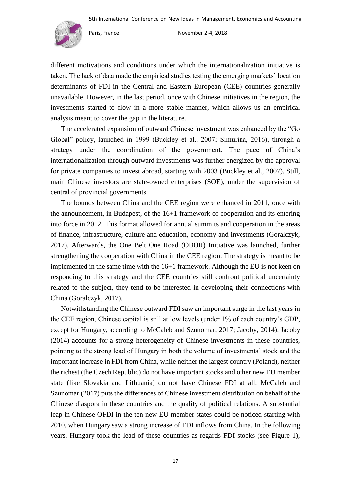

different motivations and conditions under which the internationalization initiative is taken. The lack of data made the empirical studies testing the emerging markets' location determinants of FDI in the Central and Eastern European (CEE) countries generally unavailable. However, in the last period, once with Chinese initiatives in the region, the investments started to flow in a more stable manner, which allows us an empirical analysis meant to cover the gap in the literature.

The accelerated expansion of outward Chinese investment was enhanced by the "Go Global" policy, launched in 1999 (Buckley et al., 2007; Simurina, 2016), through a strategy under the coordination of the government. The pace of China's internationalization through outward investments was further energized by the approval for private companies to invest abroad, starting with 2003 (Buckley et al., 2007). Still, main Chinese investors are state-owned enterprises (SOE), under the supervision of central of provincial governments.

The bounds between China and the CEE region were enhanced in 2011, once with the announcement, in Budapest, of the 16+1 framework of cooperation and its entering into force in 2012. This format allowed for annual summits and cooperation in the areas of finance, infrastructure, culture and education, economy and investments (Goralczyk, 2017). Afterwards, the One Belt One Road (OBOR) Initiative was launched, further strengthening the cooperation with China in the CEE region. The strategy is meant to be implemented in the same time with the 16+1 framework. Although the EU is not keen on responding to this strategy and the CEE countries still confront political uncertainty related to the subject, they tend to be interested in developing their connections with China (Goralczyk, 2017).

Notwithstanding the Chinese outward FDI saw an important surge in the last years in the CEE region, Chinese capital is still at low levels (under 1% of each country's GDP, except for Hungary, according to McCaleb and Szunomar, 2017; Jacoby, 2014). Jacoby (2014) accounts for a strong heterogeneity of Chinese investments in these countries, pointing to the strong lead of Hungary in both the volume of investments' stock and the important increase in FDI from China, while neither the largest country (Poland), neither the richest (the Czech Republic) do not have important stocks and other new EU member state (like Slovakia and Lithuania) do not have Chinese FDI at all. McCaleb and Szunomar (2017) puts the differences of Chinese investment distribution on behalf of the Chinese diaspora in these countries and the quality of political relations. A substantial leap in Chinese OFDI in the ten new EU member states could be noticed starting with 2010, when Hungary saw a strong increase of FDI inflows from China. In the following years, Hungary took the lead of these countries as regards FDI stocks (see Figure 1),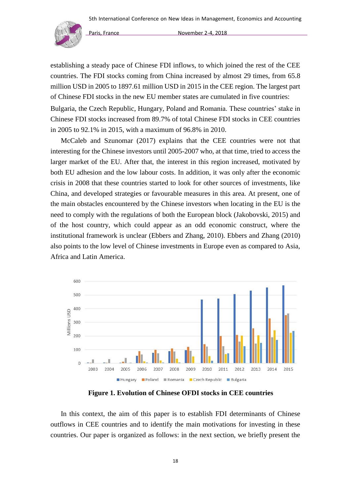

establishing a steady pace of Chinese FDI inflows, to which joined the rest of the CEE countries. The FDI stocks coming from China increased by almost 29 times, from 65.8 million USD in 2005 to 1897.61 million USD in 2015 in the CEE region. The largest part of Chinese FDI stocks in the new EU member states are cumulated in five countries: Bulgaria, the Czech Republic, Hungary, Poland and Romania. These countries' stake in Chinese FDI stocks increased from 89.7% of total Chinese FDI stocks in CEE countries in 2005 to 92.1% in 2015, with a maximum of 96.8% in 2010.

McCaleb and Szunomar (2017) explains that the CEE countries were not that interesting for the Chinese investors until 2005-2007 who, at that time, tried to access the larger market of the EU. After that, the interest in this region increased, motivated by both EU adhesion and the low labour costs. In addition, it was only after the economic crisis in 2008 that these countries started to look for other sources of investments, like China, and developed strategies or favourable measures in this area. At present, one of the main obstacles encountered by the Chinese investors when locating in the EU is the need to comply with the regulations of both the European block (Jakobovski, 2015) and of the host country, which could appear as an odd economic construct, where the institutional framework is unclear (Ebbers and Zhang, 2010). Ebbers and Zhang (2010) also points to the low level of Chinese investments in Europe even as compared to Asia, Africa and Latin America.



**Figure 1. Evolution of Chinese OFDI stocks in CEE countries** 

In this context, the aim of this paper is to establish FDI determinants of Chinese outflows in CEE countries and to identify the main motivations for investing in these countries. Our paper is organized as follows: in the next section, we briefly present the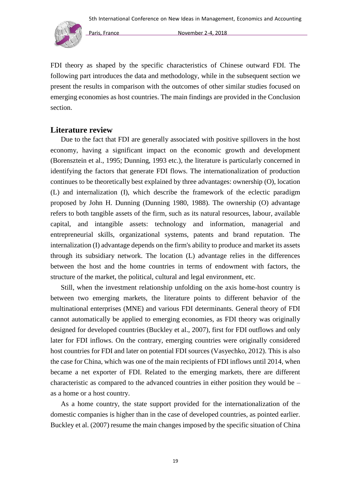

FDI theory as shaped by the specific characteristics of Chinese outward FDI. The following part introduces the data and methodology, while in the subsequent section we present the results in comparison with the outcomes of other similar studies focused on emerging economies as host countries. The main findings are provided in the Conclusion section.

# **Literature review**

Due to the fact that FDI are generally associated with positive spillovers in the host economy, having a significant impact on the economic growth and development (Borensztein et al., 1995; Dunning, 1993 etc.), the literature is particularly concerned in identifying the factors that generate FDI flows. The internationalization of production continues to be theoretically best explained by three advantages: ownership (O), location (L) and internalization (I), which describe the framework of the eclectic paradigm proposed by John H. Dunning (Dunning 1980, 1988). The ownership (O) advantage refers to both tangible assets of the firm, such as its natural resources, labour, available capital, and intangible assets: technology and information, managerial and entrepreneurial skills, organizational systems, patents and brand reputation. The internalization (I) advantage depends on the firm's ability to produce and market its assets through its subsidiary network. The location (L) advantage relies in the differences between the host and the home countries in terms of endowment with factors, the structure of the market, the political, cultural and legal environment, etc.

Still, when the investment relationship unfolding on the axis home-host country is between two emerging markets, the literature points to different behavior of the multinational enterprises (MNE) and various FDI determinants. General theory of FDI cannot automatically be applied to emerging economies, as FDI theory was originally designed for developed countries (Buckley et al., 2007), first for FDI outflows and only later for FDI inflows. On the contrary, emerging countries were originally considered host countries for FDI and later on potential FDI sources (Vasyechko, 2012). This is also the case for China, which was one of the main recipients of FDI inflows until 2014, when became a net exporter of FDI. Related to the emerging markets, there are different characteristic as compared to the advanced countries in either position they would be – as a home or a host country.

As a home country, the state support provided for the internationalization of the domestic companies is higher than in the case of developed countries, as pointed earlier. Buckley et al. (2007) resume the main changes imposed by the specific situation of China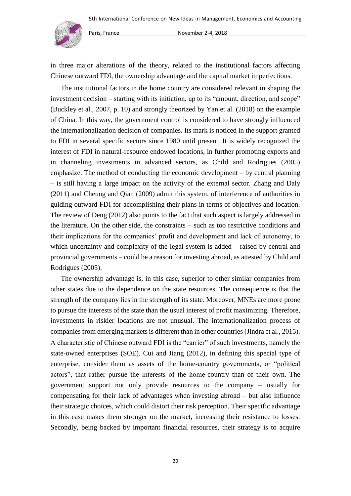

in three major alterations of the theory, related to the institutional factors affecting Chinese outward FDI, the ownership advantage and the capital market imperfections.

The institutional factors in the home country are considered relevant in shaping the investment decision – starting with its initiation, up to its "amount, direction, and scope" (Buckley et al., 2007, p. 10) and strongly theorized by Yan et al. (2018) on the example of China. In this way, the government control is considered to have strongly influenced the internationalization decision of companies. Its mark is noticed in the support granted to FDI in several specific sectors since 1980 until present. It is widely recognized the interest of FDI in natural-resource endowed locations, in further promoting exports and in channeling investments in advanced sectors, as Child and Rodrigues (2005) emphasize. The method of conducting the economic development – by central planning – is still having a large impact on the activity of the external sector. Zhang and Daly (2011) and Cheung and Qian (2009) admit this system, of interference of authorities in guiding outward FDI for accomplishing their plans in terms of objectives and location. The review of Deng (2012) also points to the fact that such aspect is largely addressed in the literature. On the other side, the constraints – such as too restrictive conditions and their implications for the companies' profit and development and lack of autonomy, to which uncertainty and complexity of the legal system is added – raised by central and provincial governments – could be a reason for investing abroad, as attested by Child and Rodrigues (2005).

The ownership advantage is, in this case, superior to other similar companies from other states due to the dependence on the state resources. The consequence is that the strength of the company lies in the strength of its state. Moreover, MNEs are more prone to pursue the interests of the state than the usual interest of profit maximizing. Therefore, investments in riskier locations are not unusual. The internationalization process of companies from emerging markets is different than in other countries (Jindra et al., 2015). A characteristic of Chinese outward FDI is the "carrier" of such investments, namely the state-owned enterprises (SOE). Cui and Jiang (2012), in defining this special type of enterprise, consider them as assets of the home-country governments, or "political actors", that rather pursue the interests of the home-country than of their own. The government support not only provide resources to the company – usually for compensating for their lack of advantages when investing abroad – but also influence their strategic choices, which could distort their risk perception. Their specific advantage in this case makes them stronger on the market, increasing their resistance to losses. Secondly, being backed by important financial resources, their strategy is to acquire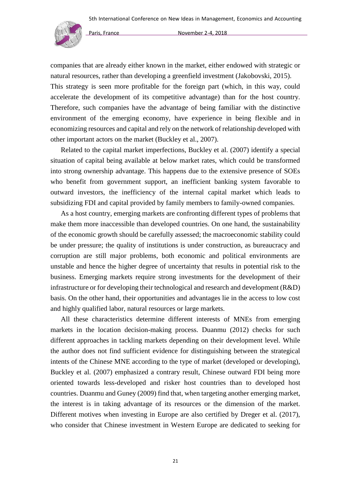

companies that are already either known in the market, either endowed with strategic or natural resources, rather than developing a greenfield investment (Jakobovski, 2015). This strategy is seen more profitable for the foreign part (which, in this way, could accelerate the development of its competitive advantage) than for the host country. Therefore, such companies have the advantage of being familiar with the distinctive environment of the emerging economy, have experience in being flexible and in economizing resources and capital and rely on the network of relationship developed with other important actors on the market (Buckley et al., 2007).

Related to the capital market imperfections, Buckley et al. (2007) identify a special situation of capital being available at below market rates, which could be transformed into strong ownership advantage. This happens due to the extensive presence of SOEs who benefit from government support, an inefficient banking system favorable to outward investors, the inefficiency of the internal capital market which leads to subsidizing FDI and capital provided by family members to family-owned companies.

As a host country, emerging markets are confronting different types of problems that make them more inaccessible than developed countries. On one hand, the sustainability of the economic growth should be carefully assessed; the macroeconomic stability could be under pressure; the quality of institutions is under construction, as bureaucracy and corruption are still major problems, both economic and political environments are unstable and hence the higher degree of uncertainty that results in potential risk to the business. Emerging markets require strong investments for the development of their infrastructure or for developing their technological and research and development (R&D) basis. On the other hand, their opportunities and advantages lie in the access to low cost and highly qualified labor, natural resources or large markets.

All these characteristics determine different interests of MNEs from emerging markets in the location decision-making process. Duanmu (2012) checks for such different approaches in tackling markets depending on their development level. While the author does not find sufficient evidence for distinguishing between the strategical intents of the Chinese MNE according to the type of market (developed or developing), Buckley et al. (2007) emphasized a contrary result, Chinese outward FDI being more oriented towards less-developed and risker host countries than to developed host countries. Duanmu and Guney (2009) find that, when targeting another emerging market, the interest is in taking advantage of its resources or the dimension of the market. Different motives when investing in Europe are also certified by Dreger et al. (2017), who consider that Chinese investment in Western Europe are dedicated to seeking for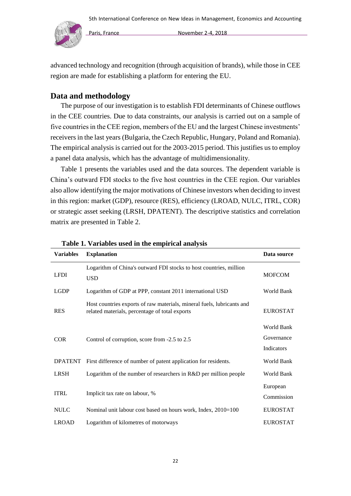

advanced technology and recognition (through acquisition of brands), while those in CEE region are made for establishing a platform for entering the EU.

# **Data and methodology**

The purpose of our investigation is to establish FDI determinants of Chinese outflows in the CEE countries. Due to data constraints, our analysis is carried out on a sample of five countries in the CEE region, members of the EU and the largest Chinese investments' receivers in the last years (Bulgaria, the Czech Republic, Hungary, Poland and Romania). The empirical analysis is carried out for the 2003-2015 period. This justifies us to employ a panel data analysis, which has the advantage of multidimensionality.

Table 1 presents the variables used and the data sources. The dependent variable is China's outward FDI stocks to the five host countries in the CEE region. Our variables also allow identifying the major motivations of Chinese investors when deciding to invest in this region: market (GDP), resource (RES), efficiency (LROAD, NULC, ITRL, COR) or strategic asset seeking (LRSH, DPATENT). The descriptive statistics and correlation matrix are presented in Table 2.

| <b>Variables</b> | <b>Explanation</b>                                                                                                       | Data source     |
|------------------|--------------------------------------------------------------------------------------------------------------------------|-----------------|
| <b>LFDI</b>      | Logarithm of China's outward FDI stocks to host countries, million<br><b>USD</b>                                         | <b>MOFCOM</b>   |
| <b>LGDP</b>      | Logarithm of GDP at PPP, constant 2011 international USD                                                                 | World Bank      |
| <b>RES</b>       | Host countries exports of raw materials, mineral fuels, lubricants and<br>related materials, percentage of total exports | <b>EUROSTAT</b> |
|                  |                                                                                                                          | World Bank      |
| <b>COR</b>       | Control of corruption, score from -2.5 to 2.5                                                                            | Governance      |
|                  |                                                                                                                          | Indicators      |
| <b>DPATENT</b>   | First difference of number of patent application for residents.                                                          | World Bank      |
| <b>LRSH</b>      | Logarithm of the number of researchers in R&D per million people                                                         | World Bank      |
|                  |                                                                                                                          | European        |
| <b>ITRL</b>      | Implicit tax rate on labour, %                                                                                           | Commission      |
| <b>NULC</b>      | Nominal unit labour cost based on hours work, Index, 2010=100                                                            | <b>EUROSTAT</b> |
| <b>LROAD</b>     | Logarithm of kilometres of motorways                                                                                     | <b>EUROSTAT</b> |

#### **Table 1. Variables used in the empirical analysis**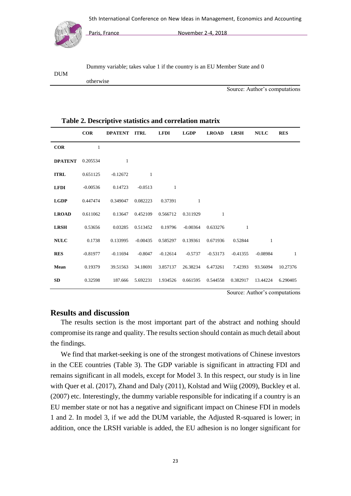

otherwise

Paris, France November 2-4, 2018

Dummy variable; takes value 1 if the country is an EU Member State and 0

DUM

Source: Author's computations

#### **Table 2. Descriptive statistics and correlation matrix**

|                | <b>COR</b> | DPATENT ITRL |            | <b>LFDI</b> | <b>LGDP</b> | <b>LROAD</b> | <b>LRSH</b> | <b>NULC</b>  | <b>RES</b> |
|----------------|------------|--------------|------------|-------------|-------------|--------------|-------------|--------------|------------|
| COR            | 1          |              |            |             |             |              |             |              |            |
| <b>DPATENT</b> | 0.205534   | 1            |            |             |             |              |             |              |            |
| <b>ITRL</b>    | 0.651125   | $-0.12672$   | 1          |             |             |              |             |              |            |
| <b>LFDI</b>    | $-0.00536$ | 0.14723      | $-0.0513$  | 1           |             |              |             |              |            |
| <b>LGDP</b>    | 0.447474   | 0.349047     | 0.082223   | 0.37391     | 1           |              |             |              |            |
| <b>LROAD</b>   | 0.611062   | 0.13647      | 0.452109   | 0.566712    | 0.311929    | $\mathbf{1}$ |             |              |            |
| <b>LRSH</b>    | 0.53656    | 0.03285      | 0.513452   | 0.19796     | $-0.00364$  | 0.633276     | 1           |              |            |
| <b>NULC</b>    | 0.1738     | 0.133995     | $-0.00435$ | 0.585297    | 0.139361    | 0.671936     | 0.52844     | $\mathbf{1}$ |            |
| <b>RES</b>     | $-0.81977$ | $-0.11694$   | $-0.8047$  | $-0.12614$  | $-0.5737$   | $-0.53173$   | $-0.41355$  | $-0.08984$   | -1         |
| Mean           | 0.19379    | 39.51563     | 34.18691   | 3.857137    | 26.38234    | 6.473261     | 7.42393     | 93.56094     | 10.27376   |
| SD             | 0.32598    | 187.666      | 5.692231   | 1.934526    | 0.661595    | 0.544558     | 0.382917    | 13.44224     | 6.290405   |

Source: Author's computations

# **Results and discussion**

The results section is the most important part of the abstract and nothing should compromise its range and quality. The results section should contain as much detail about the findings.

We find that market-seeking is one of the strongest motivations of Chinese investors in the CEE countries (Table 3). The GDP variable is significant in attracting FDI and remains significant in all models, except for Model 3. In this respect, our study is in line with Quer et al. (2017), Zhand and Daly (2011), Kolstad and Wiig (2009), Buckley et al. (2007) etc. Interestingly, the dummy variable responsible for indicating if a country is an EU member state or not has a negative and significant impact on Chinese FDI in models 1 and 2. In model 3, if we add the DUM variable, the Adjusted R-squared is lower; in addition, once the LRSH variable is added, the EU adhesion is no longer significant for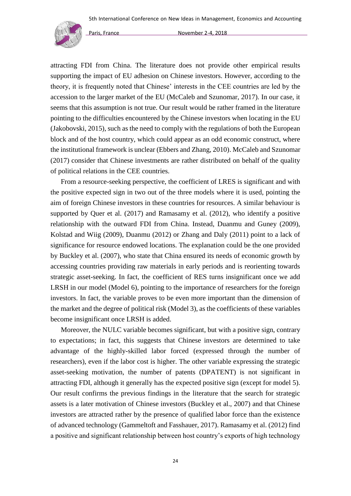

attracting FDI from China. The literature does not provide other empirical results supporting the impact of EU adhesion on Chinese investors. However, according to the theory, it is frequently noted that Chinese' interests in the CEE countries are led by the accession to the larger market of the EU (McCaleb and Szunomar, 2017). In our case, it seems that this assumption is not true. Our result would be rather framed in the literature pointing to the difficulties encountered by the Chinese investors when locating in the EU (Jakobovski, 2015), such as the need to comply with the regulations of both the European block and of the host country, which could appear as an odd economic construct, where the institutional framework is unclear (Ebbers and Zhang, 2010). McCaleb and Szunomar (2017) consider that Chinese investments are rather distributed on behalf of the quality of political relations in the CEE countries.

From a resource-seeking perspective, the coefficient of LRES is significant and with the positive expected sign in two out of the three models where it is used, pointing the aim of foreign Chinese investors in these countries for resources. A similar behaviour is supported by Quer et al. (2017) and Ramasamy et al. (2012), who identify a positive relationship with the outward FDI from China. Instead, Duanmu and Guney (2009), Kolstad and Wiig (2009), Duanmu (2012) or Zhang and Daly (2011) point to a lack of significance for resource endowed locations. The explanation could be the one provided by Buckley et al. (2007), who state that China ensured its needs of economic growth by accessing countries providing raw materials in early periods and is reorienting towards strategic asset-seeking. In fact, the coefficient of RES turns insignificant once we add LRSH in our model (Model 6), pointing to the importance of researchers for the foreign investors. In fact, the variable proves to be even more important than the dimension of the market and the degree of political risk (Model 3), as the coefficients of these variables become insignificant once LRSH is added.

Moreover, the NULC variable becomes significant, but with a positive sign, contrary to expectations; in fact, this suggests that Chinese investors are determined to take advantage of the highly-skilled labor forced (expressed through the number of researchers), even if the labor cost is higher. The other variable expressing the strategic asset-seeking motivation, the number of patents (DPATENT) is not significant in attracting FDI, although it generally has the expected positive sign (except for model 5). Our result confirms the previous findings in the literature that the search for strategic assets is a later motivation of Chinese investors (Buckley et al., 2007) and that Chinese investors are attracted rather by the presence of qualified labor force than the existence of advanced technology (Gammeltoft and Fasshauer, 2017). Ramasamy et al. (2012) find a positive and significant relationship between host country's exports of high technology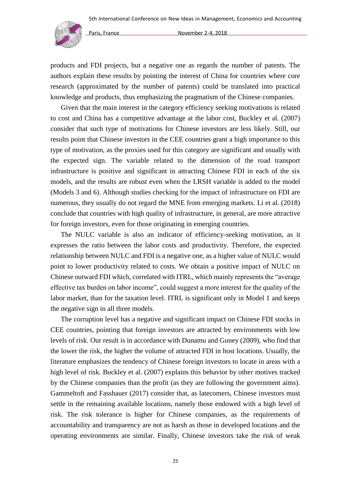

products and FDI projects, but a negative one as regards the number of patents. The authors explain these results by pointing the interest of China for countries where core research (approximated by the number of patents) could be translated into practical knowledge and products, thus emphasizing the pragmatism of the Chinese companies.

Given that the main interest in the category efficiency seeking motivations is related to cost and China has a competitive advantage at the labor cost, Buckley et al. (2007) consider that such type of motivations for Chinese investors are less likely. Still, our results point that Chinese investors in the CEE countries grant a high importance to this type of motivation, as the proxies used for this category are significant and usually with the expected sign. The variable related to the dimension of the road transport infrastructure is positive and significant in attracting Chinese FDI in each of the six models, and the results are robust even when the LRSH variable is added to the model (Models 3 and 6). Although studies checking for the impact of infrastructure on FDI are numerous, they usually do not regard the MNE from emerging markets. Li et al. (2018) conclude that countries with high quality of infrastructure, in general, are more attractive for foreign investors, even for those originating in emerging countries.

The NULC variable is also an indicator of efficiency-seeking motivation, as it expresses the ratio between the labor costs and productivity. Therefore, the expected relationship between NULC and FDI is a negative one, as a higher value of NULC would point to lower productivity related to costs. We obtain a positive impact of NULC on Chinese outward FDI which, correlated with ITRL, which mainly represents the "average effective tax burden on labor income", could suggest a more interest for the quality of the labor market, than for the taxation level. ITRL is significant only in Model 1 and keeps the negative sign in all three models.

The corruption level has a negative and significant impact on Chinese FDI stocks in CEE countries, pointing that foreign investors are attracted by environments with low levels of risk. Our result is in accordance with Dunamu and Guney (2009), who find that the lower the risk, the higher the volume of attracted FDI in host locations. Usually, the literature emphasizes the tendency of Chinese foreign investors to locate in areas with a high level of risk. Buckley et al. (2007) explains this behavior by other motives tracked by the Chinese companies than the profit (as they are following the government aims). Gammeltoft and Fasshauer (2017) consider that, as latecomers, Chinese investors must settle in the remaining available locations, namely those endowed with a high level of risk. The risk tolerance is higher for Chinese companies, as the requirements of accountability and transparency are not as harsh as those in developed locations and the operating environments are similar. Finally, Chinese investors take the risk of weak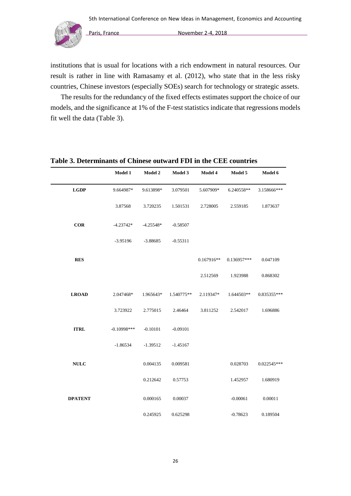

institutions that is usual for locations with a rich endowment in natural resources. Our result is rather in line with Ramasamy et al. (2012), who state that in the less risky countries, Chinese investors (especially SOEs) search for technology or strategic assets.

The results for the redundancy of the fixed effects estimates support the choice of our models, and the significance at 1% of the F-test statistics indicate that regressions models fit well the data (Table 3).

|                | <b>Model 1</b> | <b>Model 2</b> | Model 3    | Model 4      | Model 5     | Model 6     |  |
|----------------|----------------|----------------|------------|--------------|-------------|-------------|--|
| <b>LGDP</b>    | 9.664987*      | 9.613898*      | 3.079501   | 5.607909*    | 6.240558**  | 3.158666*** |  |
|                | 3.87568        | 3.720235       | 1.501531   | 2.728005     | 2.559185    | 1.873637    |  |
| <b>COR</b>     | $-4.23742*$    | $-4.25548*$    | $-0.58507$ |              |             |             |  |
|                | $-3.95196$     | $-3.88685$     | $-0.55311$ |              |             |             |  |
| <b>RES</b>     |                |                |            | $0.167916**$ | 0.136957*** | 0.047109    |  |
|                |                |                |            | 2.512569     | 1.923988    | 0.868302    |  |
| <b>LROAD</b>   | 2.047468*      | 1.965643*      | 1.540775** | 2.119347*    | 1.644503**  | 0.835355*** |  |
|                | 3.723922       | 2.775015       | 2.46464    | 3.811252     | 2.542017    | 1.696886    |  |
| <b>ITRL</b>    | $-0.10998$ *** | $-0.10101$     | $-0.09101$ |              |             |             |  |
|                | $-1.86534$     | $-1.39512$     | $-1.45167$ |              |             |             |  |
| <b>NULC</b>    |                | 0.004135       | 0.009581   |              | 0.028703    | 0.022545*** |  |
|                |                | 0.212642       | 0.57753    |              | 1.452957    | 1.680919    |  |
| <b>DPATENT</b> |                | 0.000165       | 0.00037    |              | $-0.00061$  | 0.00011     |  |
|                |                | 0.245925       | 0.625298   |              | $-0.78623$  | 0.189504    |  |

### **Table 3. Determinants of Chinese outward FDI in the CEE countries**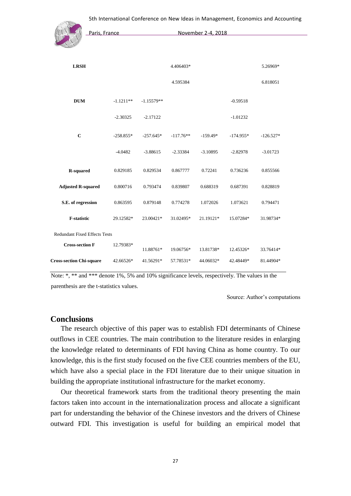

| <b>LRSH</b>                          |             |              | 4.406403*   |            |             | 5.26969*    |  |
|--------------------------------------|-------------|--------------|-------------|------------|-------------|-------------|--|
|                                      |             |              | 4.595384    |            |             | 6.818051    |  |
| <b>DUM</b>                           | $-1.1211**$ | $-1.15579**$ |             |            | $-0.59518$  |             |  |
|                                      | $-2.30325$  | $-2.17122$   |             |            | $-1.01232$  |             |  |
| $\mathbf C$                          | $-258.855*$ | $-257.645*$  | $-117.76**$ | $-159.49*$ | $-174.955*$ | $-126.527*$ |  |
|                                      | $-4.0482$   | $-3.88615$   | $-2.33384$  | $-3.10895$ | $-2.82978$  | $-3.01723$  |  |
| <b>R-squared</b>                     | 0.829185    | 0.829534     | 0.867777    | 0.72241    | 0.736236    | 0.855566    |  |
| <b>Adjusted R-squared</b>            | 0.800716    | 0.793474     | 0.839807    | 0.688319   | 0.687391    | 0.828819    |  |
| S.E. of regression                   | 0.863595    | 0.879148     | 0.774278    | 1.072026   | 1.073621    | 0.794471    |  |
| <b>F-statistic</b>                   | 29.12582*   | 23.00421*    | 31.02495*   | 21.19121*  | 15.07284*   | 31.98734*   |  |
| <b>Redundant Fixed Effects Tests</b> |             |              |             |            |             |             |  |
| <b>Cross-section F</b>               | 12.79383*   | 11.88761*    | 19.06756*   | 13.81738*  | 12.45326*   | 33.76414*   |  |
| <b>Cross-section Chi-square</b>      | 42.66526*   | 41.56291*    | 57.78531*   | 44.06032*  | 42.48449*   | 81.44904*   |  |

Note: \*, \*\* and \*\*\* denote 1%, 5% and 10% significance levels, respectively. The values in the parenthesis are the t-statistics values.

Source: Author's computations

#### **Conclusions**

The research objective of this paper was to establish FDI determinants of Chinese outflows in CEE countries. The main contribution to the literature resides in enlarging the knowledge related to determinants of FDI having China as home country. To our knowledge, this is the first study focused on the five CEE countries members of the EU, which have also a special place in the FDI literature due to their unique situation in building the appropriate institutional infrastructure for the market economy.

Our theoretical framework starts from the traditional theory presenting the main factors taken into account in the internationalization process and allocate a significant part for understanding the behavior of the Chinese investors and the drivers of Chinese outward FDI. This investigation is useful for building an empirical model that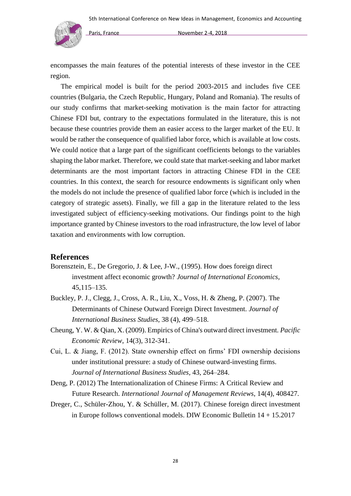

encompasses the main features of the potential interests of these investor in the CEE region.

The empirical model is built for the period 2003-2015 and includes five CEE countries (Bulgaria, the Czech Republic, Hungary, Poland and Romania). The results of our study confirms that market-seeking motivation is the main factor for attracting Chinese FDI but, contrary to the expectations formulated in the literature, this is not because these countries provide them an easier access to the larger market of the EU. It would be rather the consequence of qualified labor force, which is available at low costs. We could notice that a large part of the significant coefficients belongs to the variables shaping the labor market. Therefore, we could state that market-seeking and labor market determinants are the most important factors in attracting Chinese FDI in the CEE countries. In this context, the search for resource endowments is significant only when the models do not include the presence of qualified labor force (which is included in the category of strategic assets). Finally, we fill a gap in the literature related to the less investigated subject of efficiency-seeking motivations. Our findings point to the high importance granted by Chinese investors to the road infrastructure, the low level of labor taxation and environments with low corruption.

# **References**

- Borensztein, E., De Gregorio, J. & Lee, J-W., (1995). How does foreign direct investment affect economic growth? *Journal of International Economics*, 45,115–135.
- Buckley, P. J., Clegg, J., Cross, A. R., Liu, X., Voss, H. & Zheng, P. (2007). The Determinants of Chinese Outward Foreign Direct Investment. *Journal of International Business Studies,* 38 (4), 499–518.
- Cheung, Y. W. & Qian, X. (2009). Empirics of China's outward direct investment. *Pacific Economic Review*, 14(3), 312-341.
- Cui, L. & Jiang, F. (2012). State ownership effect on firms' FDI ownership decisions under institutional pressure: a study of Chinese outward-investing firms. *Journal of International Business Studies,* 43, 264–284.
- Deng, P. (2012) The Internationalization of Chinese Firms: A Critical Review and Future Research. *International Journal of Management Reviews*, 14(4), 408427.
- Dreger, C., Schüler-Zhou, Y. & Schüller, M. (2017). Chinese foreign direct investment in Europe follows conventional models. DIW Economic Bulletin 14 + 15.2017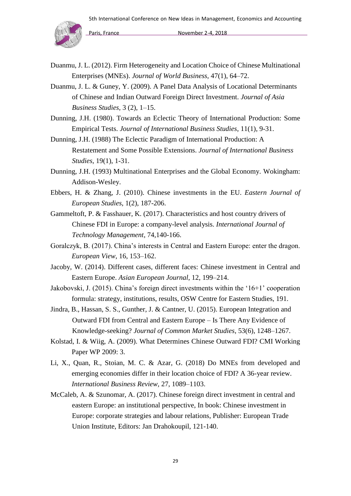

- Duanmu, J. L. (2012). Firm Heterogeneity and Location Choice of Chinese Multinational Enterprises (MNEs). *Journal of World Business,* 47(1), 64–72.
- Duanmu, J. L. & Guney, Y. (2009). A Panel Data Analysis of Locational Determinants of Chinese and Indian Outward Foreign Direct Investment. *Journal of Asia Business Studies,* 3 (2), 1–15.
- Dunning, J.H. (1980). Towards an Eclectic Theory of International Production: Some Empirical Tests. *Journal of International Business Studies*, 11(1), 9-31.
- Dunning, J.H. (1988) The Eclectic Paradigm of International Production: A Restatement and Some Possible Extensions. *Journal of International Business Studies*, 19(1), 1-31.
- Dunning, J.H. (1993) Multinational Enterprises and the Global Economy. Wokingham: Addison-Wesley.
- Ebbers, H. & Zhang, J. (2010). Chinese investments in the EU. *Eastern Journal of European Studies*, 1(2), 187-206.
- Gammeltoft, P. & Fasshauer, K. (2017). Characteristics and host country drivers of Chinese FDI in Europe: a company-level analysis. *International Journal of Technology Management*, 74,140-166.
- Goralczyk, B. (2017). China's interests in Central and Eastern Europe: enter the dragon. *European View*, 16, 153–162.
- Jacoby, W. (2014). Different cases, different faces: Chinese investment in Central and Eastern Europe. *Asian European Journal*, 12, 199–214.
- Jakobovski, J. (2015). China's foreign direct investments within the '16+1' cooperation formula: strategy, institutions, results, OSW Centre for Eastern Studies, 191.
- Jindra, B., Hassan, S. S., Gunther, J. & Cantner, U. (2015). European Integration and Outward FDI from Central and Eastern Europe – Is There Any Evidence of Knowledge-seeking? *Journal of Common Market Studies*, 53(6), 1248–1267.
- Kolstad, I. & Wiig, A. (2009). What Determines Chinese Outward FDI? CMI Working Paper WP 2009: 3.
- Li, X., Quan, R., Stoian, M. C. & Azar, G. (2018) Do MNEs from developed and emerging economies differ in their location choice of FDI? A 36-year review. *International Business Review,* 27, 1089–1103.
- McCaleb, A. & Szunomar, A. (2017). Chinese foreign direct investment in central and eastern Europe: an institutional perspective, In book: Chinese investment in Europe: corporate strategies and labour relations, Publisher: European Trade Union Institute, Editors: Jan Drahokoupil, 121-140.